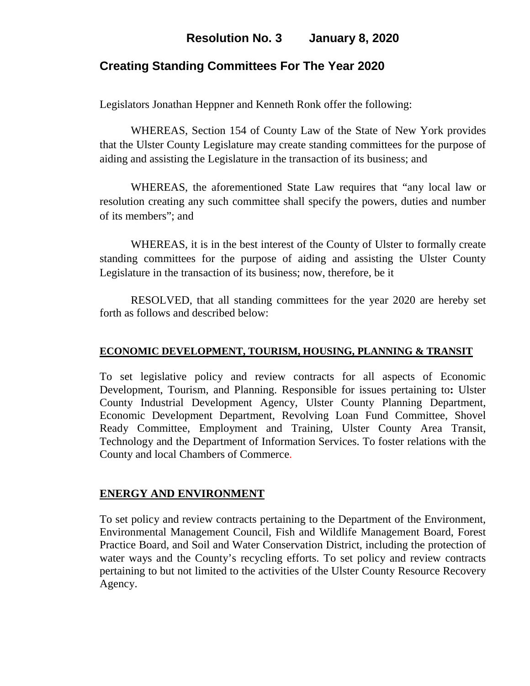# **Resolution No. 3 January 8, 2020**

## **Creating Standing Committees For The Year 2020**

Legislators Jonathan Heppner and Kenneth Ronk offer the following:

WHEREAS, Section 154 of County Law of the State of New York provides that the Ulster County Legislature may create standing committees for the purpose of aiding and assisting the Legislature in the transaction of its business; and

WHEREAS, the aforementioned State Law requires that "any local law or resolution creating any such committee shall specify the powers, duties and number of its members"; and

WHEREAS, it is in the best interest of the County of Ulster to formally create standing committees for the purpose of aiding and assisting the Ulster County Legislature in the transaction of its business; now, therefore, be it

RESOLVED, that all standing committees for the year 2020 are hereby set forth as follows and described below:

#### **ECONOMIC DEVELOPMENT, TOURISM, HOUSING, PLANNING & TRANSIT**

To set legislative policy and review contracts for all aspects of Economic Development, Tourism, and Planning. Responsible for issues pertaining to**:** Ulster County Industrial Development Agency, Ulster County Planning Department, Economic Development Department, Revolving Loan Fund Committee, Shovel Ready Committee, Employment and Training, Ulster County Area Transit, Technology and the Department of Information Services. To foster relations with the County and local Chambers of Commerce.

### **ENERGY AND ENVIRONMENT**

To set policy and review contracts pertaining to the Department of the Environment, Environmental Management Council, Fish and Wildlife Management Board, Forest Practice Board, and Soil and Water Conservation District, including the protection of water ways and the County's recycling efforts. To set policy and review contracts pertaining to but not limited to the activities of the Ulster County Resource Recovery Agency.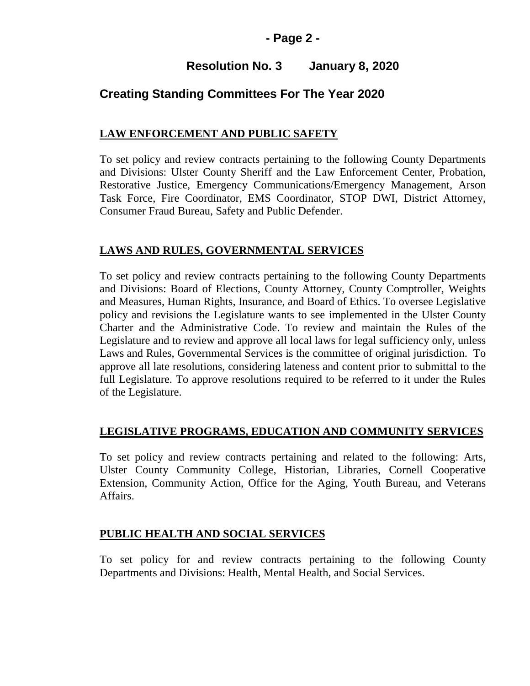### **- Page 2 -**

# **Resolution No. 3 January 8, 2020**

# **Creating Standing Committees For The Year 2020**

### **LAW ENFORCEMENT AND PUBLIC SAFETY**

To set policy and review contracts pertaining to the following County Departments and Divisions: Ulster County Sheriff and the Law Enforcement Center, Probation, Restorative Justice, Emergency Communications/Emergency Management, Arson Task Force, Fire Coordinator, EMS Coordinator, STOP DWI, District Attorney, Consumer Fraud Bureau, Safety and Public Defender.

### **LAWS AND RULES, GOVERNMENTAL SERVICES**

To set policy and review contracts pertaining to the following County Departments and Divisions: Board of Elections, County Attorney, County Comptroller, Weights and Measures, Human Rights, Insurance, and Board of Ethics. To oversee Legislative policy and revisions the Legislature wants to see implemented in the Ulster County Charter and the Administrative Code. To review and maintain the Rules of the Legislature and to review and approve all local laws for legal sufficiency only, unless Laws and Rules, Governmental Services is the committee of original jurisdiction. To approve all late resolutions, considering lateness and content prior to submittal to the full Legislature. To approve resolutions required to be referred to it under the Rules of the Legislature.

### **LEGISLATIVE PROGRAMS, EDUCATION AND COMMUNITY SERVICES**

To set policy and review contracts pertaining and related to the following: Arts, Ulster County Community College, Historian, Libraries, Cornell Cooperative Extension, Community Action, Office for the Aging, Youth Bureau, and Veterans Affairs.

### **PUBLIC HEALTH AND SOCIAL SERVICES**

To set policy for and review contracts pertaining to the following County Departments and Divisions: Health, Mental Health, and Social Services.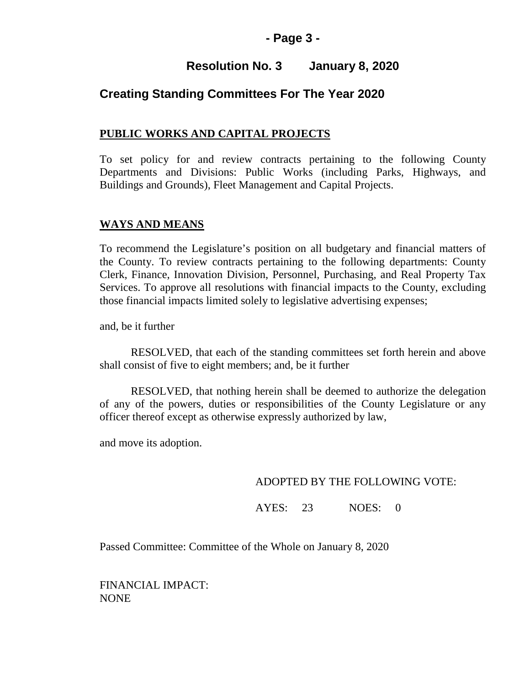### **- Page 3 -**

# **Resolution No. 3 January 8, 2020**

### **Creating Standing Committees For The Year 2020**

### **PUBLIC WORKS AND CAPITAL PROJECTS**

To set policy for and review contracts pertaining to the following County Departments and Divisions: Public Works (including Parks, Highways, and Buildings and Grounds), Fleet Management and Capital Projects.

### **WAYS AND MEANS**

To recommend the Legislature's position on all budgetary and financial matters of the County. To review contracts pertaining to the following departments: County Clerk, Finance, Innovation Division, Personnel, Purchasing, and Real Property Tax Services. To approve all resolutions with financial impacts to the County, excluding those financial impacts limited solely to legislative advertising expenses;

and, be it further

RESOLVED, that each of the standing committees set forth herein and above shall consist of five to eight members; and, be it further

RESOLVED, that nothing herein shall be deemed to authorize the delegation of any of the powers, duties or responsibilities of the County Legislature or any officer thereof except as otherwise expressly authorized by law,

and move its adoption.

#### ADOPTED BY THE FOLLOWING VOTE:

AYES: 23 NOES: 0

Passed Committee: Committee of the Whole on January 8, 2020

FINANCIAL IMPACT: NONE